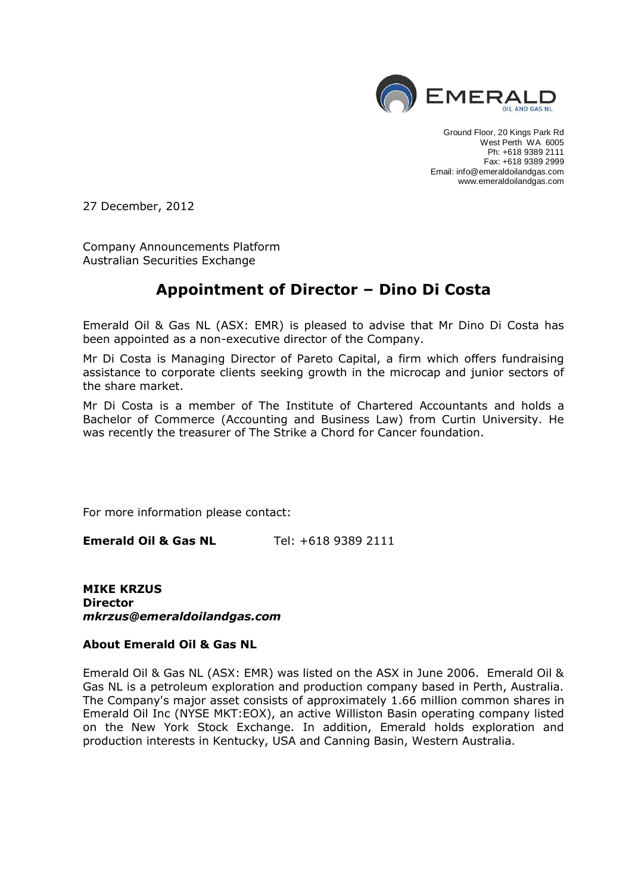

Ground Floor, 20 Kings Park Rd West Perth WA 6005 Ph: +618 9389 2111 Fax: +618 9389 2999 Email: info@emeraldoilandgas.com www.emeraldoilandgas.com

27 December, 2012

Company Announcements Platform Australian Securities Exchange

### **Appointment of Director – Dino Di Costa**

Emerald Oil & Gas NL (ASX: EMR) is pleased to advise that Mr Dino Di Costa has been appointed as a non-executive director of the Company.

Mr Di Costa is Managing Director of Pareto Capital, a firm which offers fundraising assistance to corporate clients seeking growth in the microcap and junior sectors of the share market.

Mr Di Costa is a member of The Institute of Chartered Accountants and holds a Bachelor of Commerce (Accounting and Business Law) from Curtin University. He was recently the treasurer of The Strike a Chord for Cancer foundation.

For more information please contact:

**Emerald Oil & Gas NL** Tel: +618 9389 2111

**MIKE KRZUS Director** *mkrzus@emeraldoilandgas.com* 

#### **About Emerald Oil & Gas NL**

Emerald Oil & Gas NL (ASX: EMR) was listed on the ASX in June 2006. Emerald Oil & Gas NL is a petroleum exploration and production company based in Perth, Australia. The Company's major asset consists of approximately 1.66 million common shares in Emerald Oil Inc (NYSE MKT:EOX), an active Williston Basin operating company listed on the New York Stock Exchange. In addition, Emerald holds exploration and production interests in Kentucky, USA and Canning Basin, Western Australia.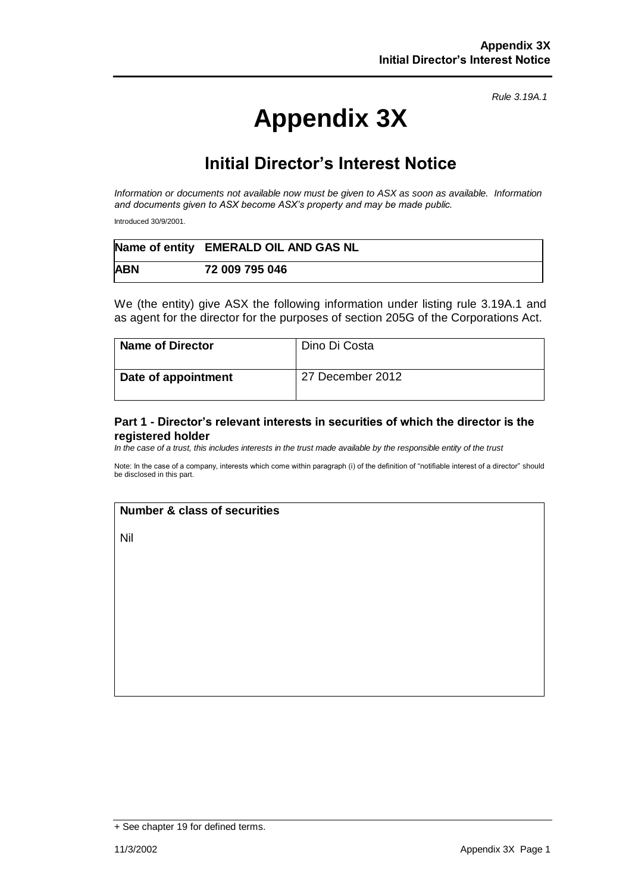*Rule 3.19A.1*

# **Appendix 3X**

## **Initial Director's Interest Notice**

*Information or documents not available now must be given to ASX as soon as available. Information and documents given to ASX become ASX's property and may be made public.*

Introduced 30/9/2001.

|            | Name of entity EMERALD OIL AND GAS NL |
|------------|---------------------------------------|
| <b>ABN</b> | 72 009 795 046                        |

We (the entity) give ASX the following information under listing rule 3.19A.1 and as agent for the director for the purposes of section 205G of the Corporations Act.

| <b>Name of Director</b> | Dino Di Costa    |
|-------------------------|------------------|
| Date of appointment     | 27 December 2012 |

#### **Part 1 - Director's relevant interests in securities of which the director is the registered holder**

*In the case of a trust, this includes interests in the trust made available by the responsible entity of the trust*

Note: In the case of a company, interests which come within paragraph (i) of the definition of "notifiable interest of a director" should be disclosed in this part.

#### **Number & class of securities**

Nil

<sup>+</sup> See chapter 19 for defined terms.